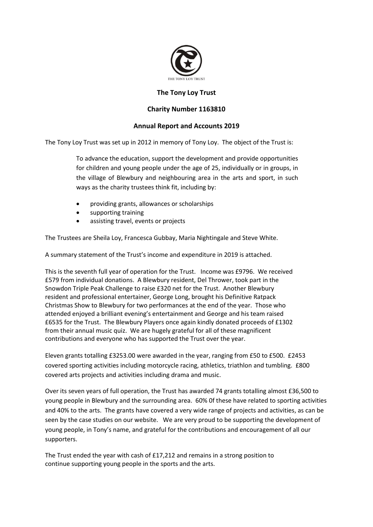

## **The Tony Loy Trust**

## **Charity Number 1163810**

## **Annual Report and Accounts 2019**

The Tony Loy Trust was set up in 2012 in memory of Tony Loy. The object of the Trust is:

To advance the education, support the development and provide opportunities for children and young people under the age of 25, individually or in groups, in the village of Blewbury and neighbouring area in the arts and sport, in such ways as the charity trustees think fit, including by:

- providing grants, allowances or scholarships
- supporting training
- assisting travel, events or projects

The Trustees are Sheila Loy, Francesca Gubbay, Maria Nightingale and Steve White.

A summary statement of the Trust's income and expenditure in 2019 is attached.

This is the seventh full year of operation for the Trust. Income was £9796. We received £579 from individual donations. A Blewbury resident, Del Thrower, took part in the Snowdon Triple Peak Challenge to raise £320 net for the Trust. Another Blewbury resident and professional entertainer, George Long, brought his Definitive Ratpack Christmas Show to Blewbury for two performances at the end of the year. Those who attended enjoyed a brilliant evening's entertainment and George and his team raised £6535 for the Trust. The Blewbury Players once again kindly donated proceeds of £1302 from their annual music quiz. We are hugely grateful for all of these magnificent contributions and everyone who has supported the Trust over the year.

Eleven grants totalling £3253.00 were awarded in the year, ranging from £50 to £500. £2453 covered sporting activities including motorcycle racing, athletics, triathlon and tumbling. £800 covered arts projects and activities including drama and music.

Over its seven years of full operation, the Trust has awarded 74 grants totalling almost £36,500 to young people in Blewbury and the surrounding area. 60% 0f these have related to sporting activities and 40% to the arts. The grants have covered a very wide range of projects and activities, as can be seen by the case studies on our website. We are very proud to be supporting the development of young people, in Tony's name, and grateful for the contributions and encouragement of all our supporters.

The Trust ended the year with cash of £17,212 and remains in a strong position to continue supporting young people in the sports and the arts.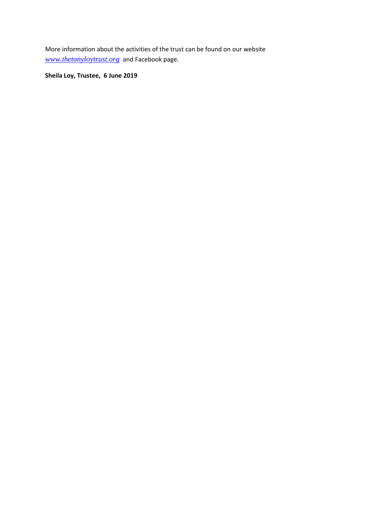More information about the activities of the trust can be found on our website *[www.thetonyloytrust.org](http://www.thetonyloytrust.org/)* and Facebook page.

**Sheila Loy, Trustee, 6 June 2019**